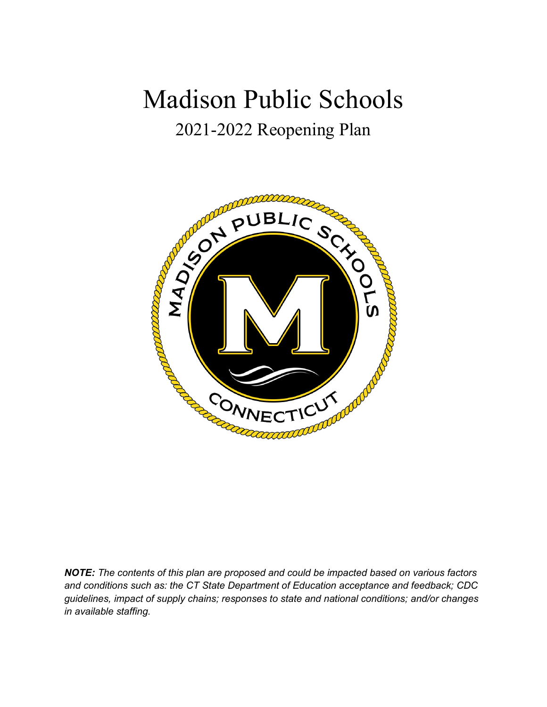# Madison Public Schools 2021-2022 Reopening Plan

# AND COLORADO CONTROLLED accounts CONNECTICUT

*NOTE: The contents of this plan are proposed and could be impacted based on various factors and conditions such as: the CT State Department of Education acceptance and feedback; CDC guidelines, impact of supply chains; responses to state and national conditions; and/or changes in available staffing.*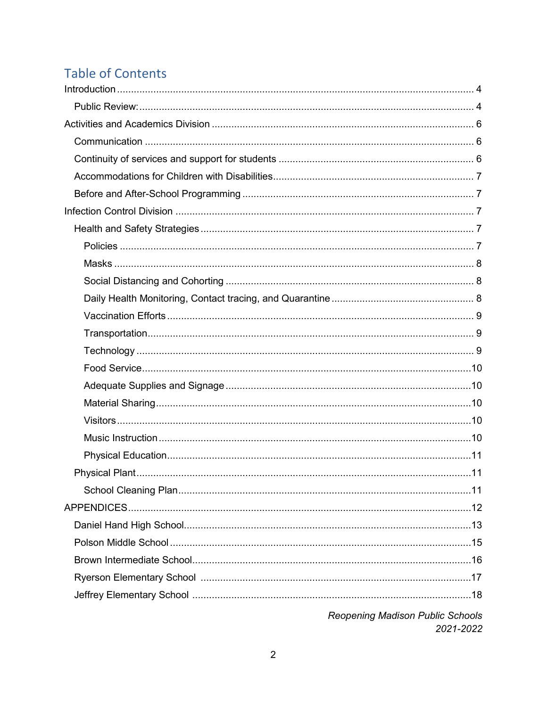# **Table of Contents**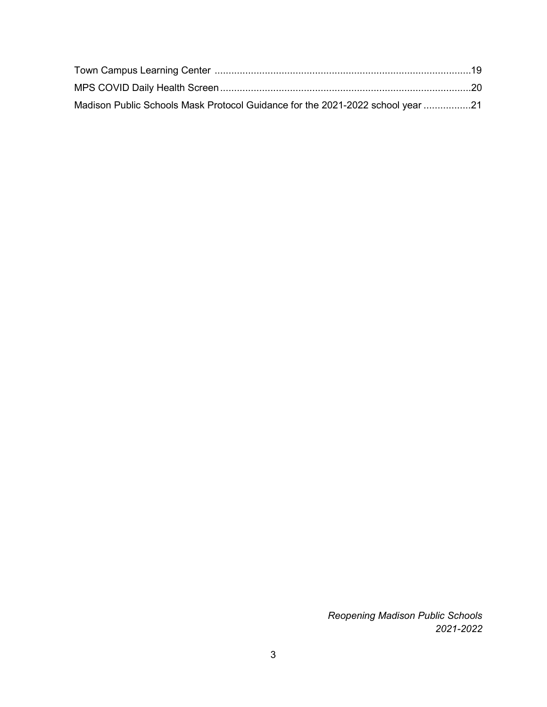| Madison Public Schools Mask Protocol Guidance for the 2021-2022 school year 21 |  |
|--------------------------------------------------------------------------------|--|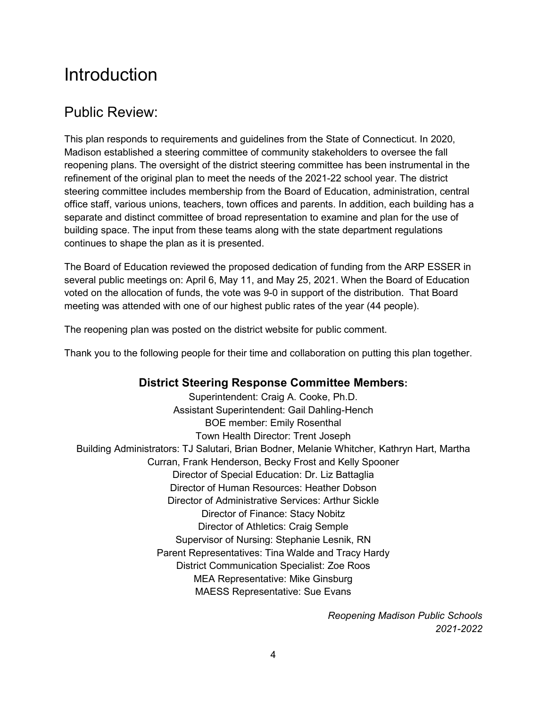# <span id="page-3-0"></span>**Introduction**

## <span id="page-3-1"></span>Public Review:

This plan responds to requirements and guidelines from the State of Connecticut. In 2020, Madison established a steering committee of community stakeholders to oversee the fall reopening plans. The oversight of the district steering committee has been instrumental in the refinement of the original plan to meet the needs of the 2021-22 school year. The district steering committee includes membership from the Board of Education, administration, central office staff, various unions, teachers, town offices and parents. In addition, each building has a separate and distinct committee of broad representation to examine and plan for the use of building space. The input from these teams along with the state department regulations continues to shape the plan as it is presented.

The Board of Education reviewed the proposed dedication of funding from the ARP ESSER in several public meetings on: April 6, May 11, and May 25, 2021. When the Board of Education voted on the allocation of funds, the vote was 9-0 in support of the distribution. That Board meeting was attended with one of our highest public rates of the year (44 people).

The reopening plan was posted on the district website for public comment.

Thank you to the following people for their time and collaboration on putting this plan together.

#### **District Steering Response Committee Members:**

Superintendent: Craig A. Cooke, Ph.D. Assistant Superintendent: Gail Dahling-Hench BOE member: Emily Rosenthal Town Health Director: Trent Joseph Building Administrators: TJ Salutari, Brian Bodner, Melanie Whitcher, Kathryn Hart, Martha Curran, Frank Henderson, Becky Frost and Kelly Spooner Director of Special Education: Dr. Liz Battaglia Director of Human Resources: Heather Dobson Director of Administrative Services: Arthur Sickle Director of Finance: Stacy Nobitz Director of Athletics: Craig Semple Supervisor of Nursing: Stephanie Lesnik, RN Parent Representatives: Tina Walde and Tracy Hardy District Communication Specialist: Zoe Roos MEA Representative: Mike Ginsburg MAESS Representative: Sue Evans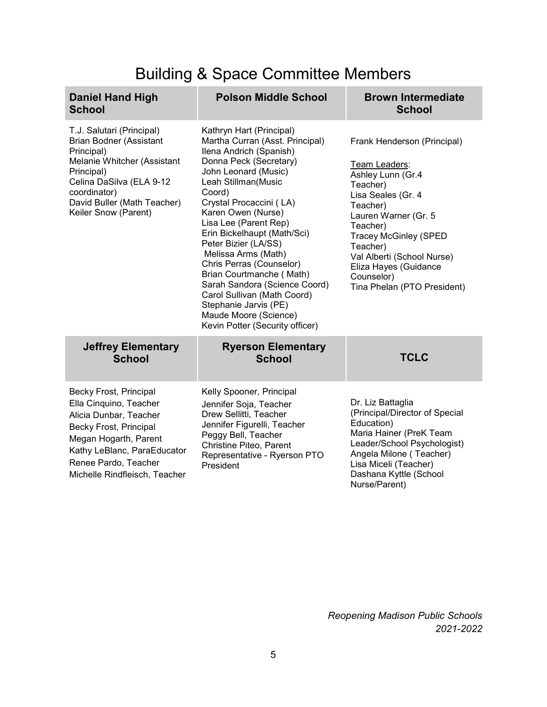# Building & Space Committee Members

| <b>Daniel Hand High</b><br><b>School</b>                                                                                                                                                                                  | <b>Polson Middle School</b>                                                                                                                                                                                                                                                                                                                                                                                                                                                                                                                    | <b>Brown Intermediate</b><br><b>School</b>                                                                                                                                                                                                                                                          |
|---------------------------------------------------------------------------------------------------------------------------------------------------------------------------------------------------------------------------|------------------------------------------------------------------------------------------------------------------------------------------------------------------------------------------------------------------------------------------------------------------------------------------------------------------------------------------------------------------------------------------------------------------------------------------------------------------------------------------------------------------------------------------------|-----------------------------------------------------------------------------------------------------------------------------------------------------------------------------------------------------------------------------------------------------------------------------------------------------|
| T.J. Salutari (Principal)<br><b>Brian Bodner (Assistant</b><br>Principal)<br>Melanie Whitcher (Assistant<br>Principal)<br>Celina DaSilva (ELA 9-12<br>coordinator)<br>David Buller (Math Teacher)<br>Keiler Snow (Parent) | Kathryn Hart (Principal)<br>Martha Curran (Asst. Principal)<br>Ilena Andrich (Spanish)<br>Donna Peck (Secretary)<br>John Leonard (Music)<br>Leah Stillman(Music<br>Coord)<br>Crystal Procaccini (LA)<br>Karen Owen (Nurse)<br>Lisa Lee (Parent Rep)<br>Erin Bickelhaupt (Math/Sci)<br>Peter Bizier (LA/SS)<br>Melissa Arms (Math)<br>Chris Perras (Counselor)<br>Brian Courtmanche (Math)<br>Sarah Sandora (Science Coord)<br>Carol Sullivan (Math Coord)<br>Stephanie Jarvis (PE)<br>Maude Moore (Science)<br>Kevin Potter (Security officer) | Frank Henderson (Principal)<br>Team Leaders:<br>Ashley Lunn (Gr.4<br>Teacher)<br>Lisa Seales (Gr. 4<br>Teacher)<br>Lauren Warner (Gr. 5<br>Teacher)<br><b>Tracey McGinley (SPED</b><br>Teacher)<br>Val Alberti (School Nurse)<br>Eliza Hayes (Guidance<br>Counselor)<br>Tina Phelan (PTO President) |
| <b>Jeffrey Elementary</b><br><b>School</b>                                                                                                                                                                                | <b>Ryerson Elementary</b><br><b>School</b>                                                                                                                                                                                                                                                                                                                                                                                                                                                                                                     | <b>TCLC</b>                                                                                                                                                                                                                                                                                         |
| Becky Frost, Principal<br>Ella Cinquino, Teacher<br>Alicia Dunbar, Teacher<br>Becky Frost, Principal<br>Megan Hogarth, Parent<br>Kathy LeBlanc, ParaEducator<br>Renee Pardo, Teacher<br>Michelle Rindfleisch, Teacher     | Kelly Spooner, Principal<br>Jennifer Soja, Teacher<br>Drew Sellitti, Teacher<br>Jennifer Figurelli, Teacher<br>Peggy Bell, Teacher<br>Christine Piteo, Parent<br>Representative - Ryerson PTO<br>President                                                                                                                                                                                                                                                                                                                                     | Dr. Liz Battaglia<br>(Principal/Director of Special<br>Education)<br>Maria Hainer (PreK Team<br>Leader/School Psychologist)<br>Angela Milone (Teacher)<br>Lisa Miceli (Teacher)<br>Dashana Kyttle (School<br>Nurse/Parent)                                                                          |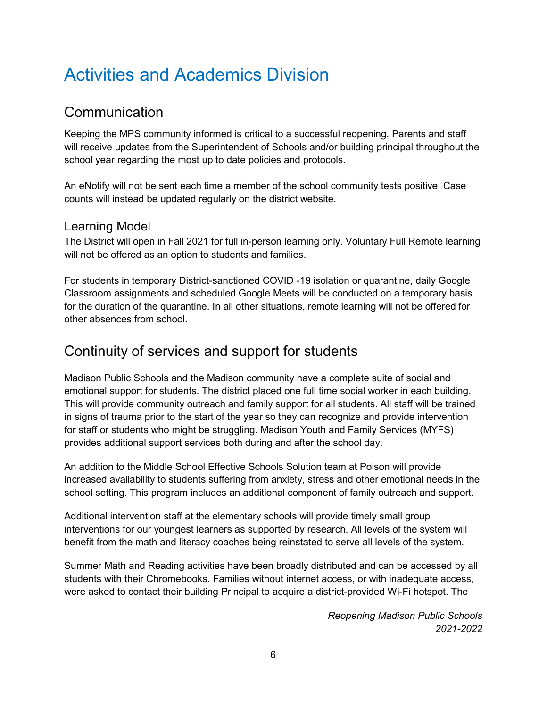# <span id="page-5-0"></span>Activities and Academics Division

## <span id="page-5-1"></span>**Communication**

Keeping the MPS community informed is critical to a successful reopening. Parents and staff will receive updates from the Superintendent of Schools and/or building principal throughout the school year regarding the most up to date policies and protocols.

An eNotify will not be sent each time a member of the school community tests positive. Case counts will instead be updated regularly on the district website.

#### Learning Model

The District will open in Fall 2021 for full in-person learning only. Voluntary Full Remote learning will not be offered as an option to students and families.

For students in temporary District-sanctioned COVID -19 isolation or quarantine, daily Google Classroom assignments and scheduled Google Meets will be conducted on a temporary basis for the duration of the quarantine. In all other situations, remote learning will not be offered for other absences from school.

## <span id="page-5-2"></span>Continuity of services and support for students

Madison Public Schools and the Madison community have a complete suite of social and emotional support for students. The district placed one full time social worker in each building. This will provide community outreach and family support for all students. All staff will be trained in signs of trauma prior to the start of the year so they can recognize and provide intervention for staff or students who might be struggling. Madison Youth and Family Services (MYFS) provides additional support services both during and after the school day.

An addition to the Middle School Effective Schools Solution team at Polson will provide increased availability to students suffering from anxiety, stress and other emotional needs in the school setting. This program includes an additional component of family outreach and support.

Additional intervention staff at the elementary schools will provide timely small group interventions for our youngest learners as supported by research. All levels of the system will benefit from the math and literacy coaches being reinstated to serve all levels of the system.

Summer Math and Reading activities have been broadly distributed and can be accessed by all students with their Chromebooks. Families without internet access, or with inadequate access, were asked to contact their building Principal to acquire a district-provided Wi-Fi hotspot. The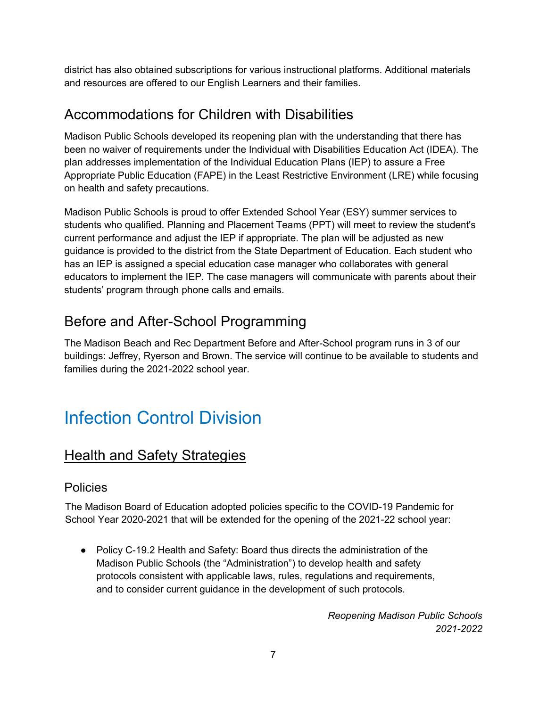district has also obtained subscriptions for various instructional platforms. Additional materials and resources are offered to our English Learners and their families.

## <span id="page-6-0"></span>Accommodations for Children with Disabilities

Madison Public Schools developed its reopening plan with the understanding that there has been no waiver of requirements under the Individual with Disabilities Education Act (IDEA). The plan addresses implementation of the Individual Education Plans (IEP) to assure a Free Appropriate Public Education (FAPE) in the Least Restrictive Environment (LRE) while focusing on health and safety precautions.

Madison Public Schools is proud to offer Extended School Year (ESY) summer services to students who qualified. Planning and Placement Teams (PPT) will meet to review the student's current performance and adjust the IEP if appropriate. The plan will be adjusted as new guidance is provided to the district from the State Department of Education. Each student who has an IEP is assigned a special education case manager who collaborates with general educators to implement the IEP. The case managers will communicate with parents about their students' program through phone calls and emails.

# <span id="page-6-1"></span>Before and After-School Programming

The Madison Beach and Rec Department Before and After-School program runs in 3 of our buildings: Jeffrey, Ryerson and Brown. The service will continue to be available to students and families during the 2021-2022 school year.

# <span id="page-6-2"></span>Infection Control Division

## <span id="page-6-3"></span>Health and Safety Strategies

#### <span id="page-6-4"></span>Policies

The Madison Board of Education adopted policies specific to the COVID-19 Pandemic for School Year 2020-2021 that will be extended for the opening of the 2021-22 school year:

● Policy C-19.2 Health and Safety: Board thus directs the administration of the Madison Public Schools (the "Administration") to develop health and safety protocols consistent with applicable laws, rules, regulations and requirements, and to consider current guidance in the development of such protocols.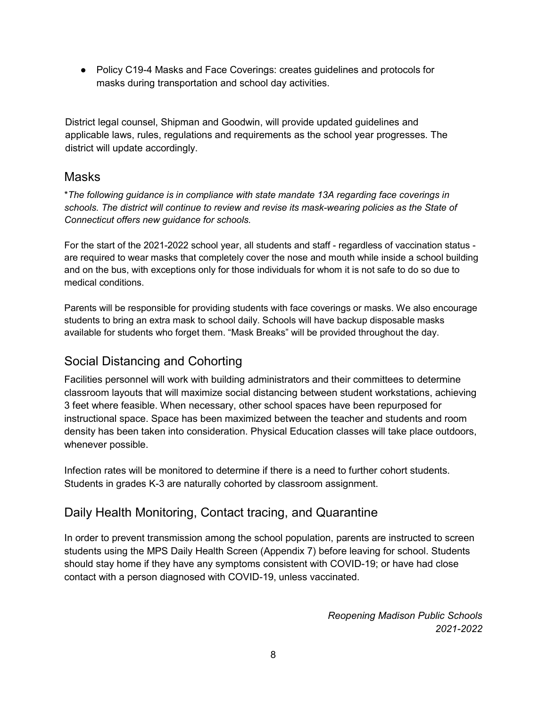● Policy C19-4 Masks and Face Coverings: creates guidelines and protocols for masks during transportation and school day activities.

District legal counsel, Shipman and Goodwin, will provide updated guidelines and applicable laws, rules, regulations and requirements as the school year progresses. The district will update accordingly.

#### <span id="page-7-0"></span>Masks

\**The following guidance is in compliance with state mandate 13A regarding face coverings in schools. The district will continue to review and revise its mask-wearing policies as the State of Connecticut offers new guidance for schools.*

For the start of the 2021-2022 school year, all students and staff - regardless of vaccination status are required to wear masks that completely cover the nose and mouth while inside a school building and on the bus, with exceptions only for those individuals for whom it is not safe to do so due to medical conditions.

Parents will be responsible for providing students with face coverings or masks. We also encourage students to bring an extra mask to school daily. Schools will have backup disposable masks available for students who forget them. "Mask Breaks" will be provided throughout the day.

## <span id="page-7-1"></span>Social Distancing and Cohorting

Facilities personnel will work with building administrators and their committees to determine classroom layouts that will maximize social distancing between student workstations, achieving 3 feet where feasible. When necessary, other school spaces have been repurposed for instructional space. Space has been maximized between the teacher and students and room density has been taken into consideration. Physical Education classes will take place outdoors, whenever possible.

Infection rates will be monitored to determine if there is a need to further cohort students. Students in grades K-3 are naturally cohorted by classroom assignment.

## <span id="page-7-2"></span>Daily Health Monitoring, Contact tracing, and Quarantine

In order to prevent transmission among the school population, parents are instructed to screen students using the MPS Daily Health Screen (Appendix 7) before leaving for school. Students should stay home if they have any symptoms consistent with COVID-19; or have had close contact with a person diagnosed with COVID-19, unless vaccinated.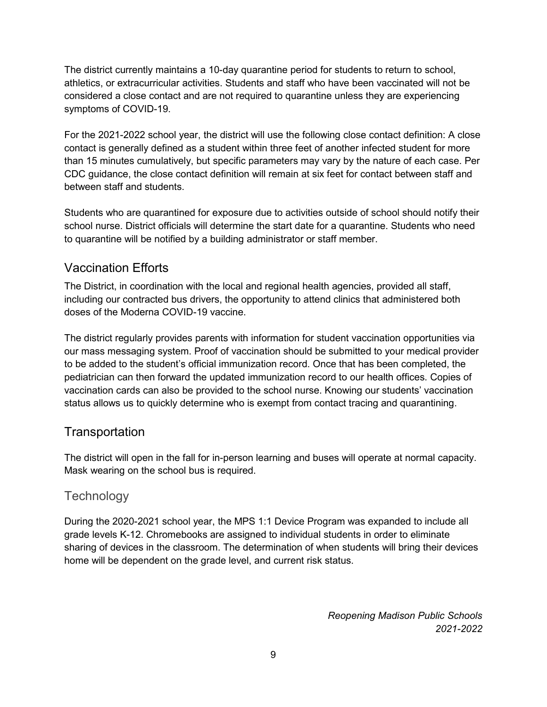The district currently maintains a 10-day quarantine period for students to return to school, athletics, or extracurricular activities. Students and staff who have been vaccinated will not be considered a close contact and are not required to quarantine unless they are experiencing symptoms of COVID-19.

For the 2021-2022 school year, the district will use the following close contact definition: A close contact is generally defined as a student within three feet of another infected student for more than 15 minutes cumulatively, but specific parameters may vary by the nature of each case. Per CDC guidance, the close contact definition will remain at six feet for contact between staff and between staff and students.

Students who are quarantined for exposure due to activities outside of school should notify their school nurse. District officials will determine the start date for a quarantine. Students who need to quarantine will be notified by a building administrator or staff member.

#### <span id="page-8-0"></span>Vaccination Efforts

The District, in coordination with the local and regional health agencies, provided all staff, including our contracted bus drivers, the opportunity to attend clinics that administered both doses of the Moderna COVID-19 vaccine.

The district regularly provides parents with information for student vaccination opportunities via our mass messaging system. Proof of vaccination should be submitted to your medical provider to be added to the student's official immunization record. Once that has been completed, the pediatrician can then forward the updated immunization record to our health offices. Copies of vaccination cards can also be provided to the school nurse. Knowing our students' vaccination status allows us to quickly determine who is exempt from contact tracing and quarantining.

#### <span id="page-8-1"></span>**Transportation**

The district will open in the fall for in-person learning and buses will operate at normal capacity. Mask wearing on the school bus is required.

## <span id="page-8-2"></span>**Technology**

During the 2020-2021 school year, the MPS 1:1 Device Program was expanded to include all grade levels K-12. Chromebooks are assigned to individual students in order to eliminate sharing of devices in the classroom. The determination of when students will bring their devices home will be dependent on the grade level, and current risk status.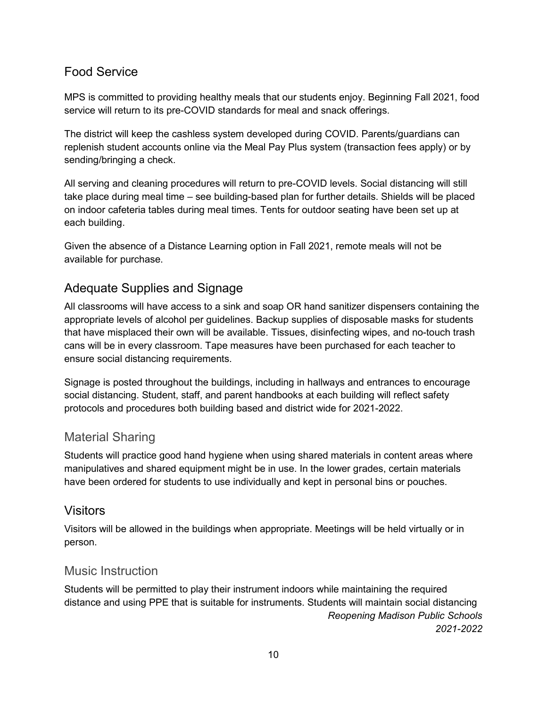#### <span id="page-9-0"></span>Food Service

MPS is committed to providing healthy meals that our students enjoy. Beginning Fall 2021, food service will return to its pre-COVID standards for meal and snack offerings.

The district will keep the cashless system developed during COVID. Parents/guardians can replenish student accounts online via the Meal Pay Plus system (transaction fees apply) or by sending/bringing a check.

All serving and cleaning procedures will return to pre-COVID levels. Social distancing will still take place during meal time – see building-based plan for further details. Shields will be placed on indoor cafeteria tables during meal times. Tents for outdoor seating have been set up at each building.

Given the absence of a Distance Learning option in Fall 2021, remote meals will not be available for purchase.

#### <span id="page-9-1"></span>Adequate Supplies and Signage

All classrooms will have access to a sink and soap OR hand sanitizer dispensers containing the appropriate levels of alcohol per guidelines. Backup supplies of disposable masks for students that have misplaced their own will be available. Tissues, disinfecting wipes, and no-touch trash cans will be in every classroom. Tape measures have been purchased for each teacher to ensure social distancing requirements.

Signage is posted throughout the buildings, including in hallways and entrances to encourage social distancing. Student, staff, and parent handbooks at each building will reflect safety protocols and procedures both building based and district wide for 2021-2022.

#### <span id="page-9-2"></span>Material Sharing

Students will practice good hand hygiene when using shared materials in content areas where manipulatives and shared equipment might be in use. In the lower grades, certain materials have been ordered for students to use individually and kept in personal bins or pouches.

#### <span id="page-9-3"></span>**Visitors**

Visitors will be allowed in the buildings when appropriate. Meetings will be held virtually or in person.

#### <span id="page-9-4"></span>Music Instruction

*Reopening Madison Public Schools 2021-2022* Students will be permitted to play their instrument indoors while maintaining the required distance and using PPE that is suitable for instruments. Students will maintain social distancing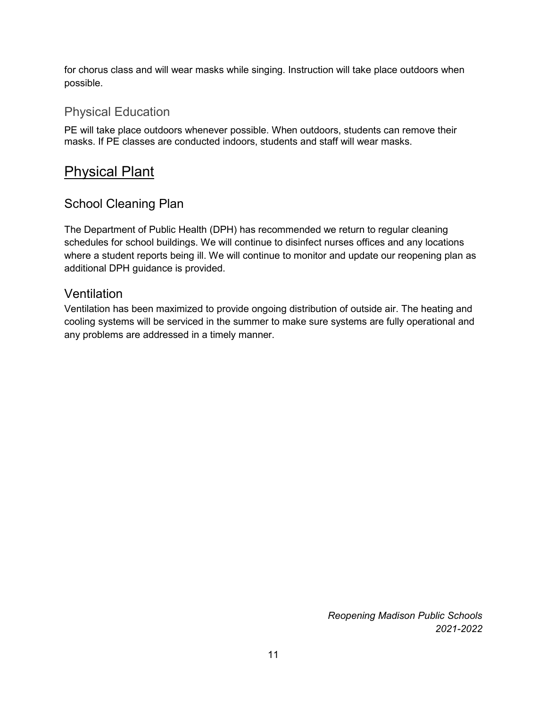for chorus class and will wear masks while singing. Instruction will take place outdoors when possible.

#### <span id="page-10-0"></span>Physical Education

PE will take place outdoors whenever possible. When outdoors, students can remove their masks. If PE classes are conducted indoors, students and staff will wear masks.

## <span id="page-10-1"></span>Physical Plant

#### <span id="page-10-2"></span>School Cleaning Plan

The Department of Public Health (DPH) has recommended we return to regular cleaning schedules for school buildings. We will continue to disinfect nurses offices and any locations where a student reports being ill. We will continue to monitor and update our reopening plan as additional DPH guidance is provided.

#### Ventilation

Ventilation has been maximized to provide ongoing distribution of outside air. The heating and cooling systems will be serviced in the summer to make sure systems are fully operational and any problems are addressed in a timely manner.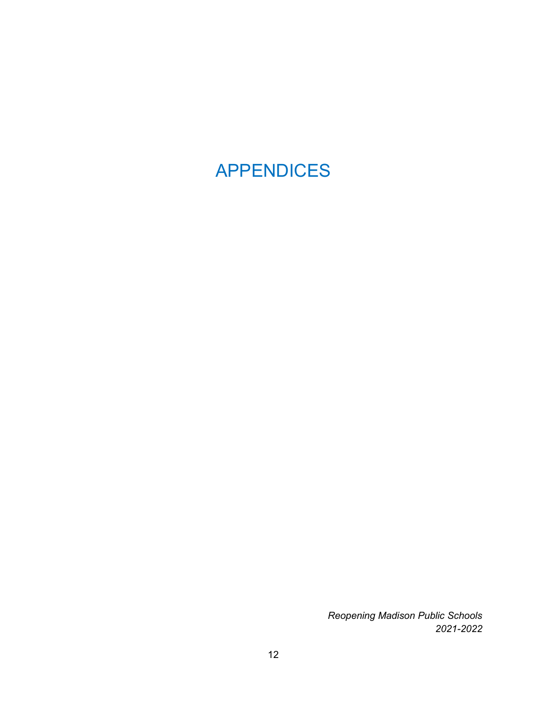# <span id="page-11-0"></span>APPENDICES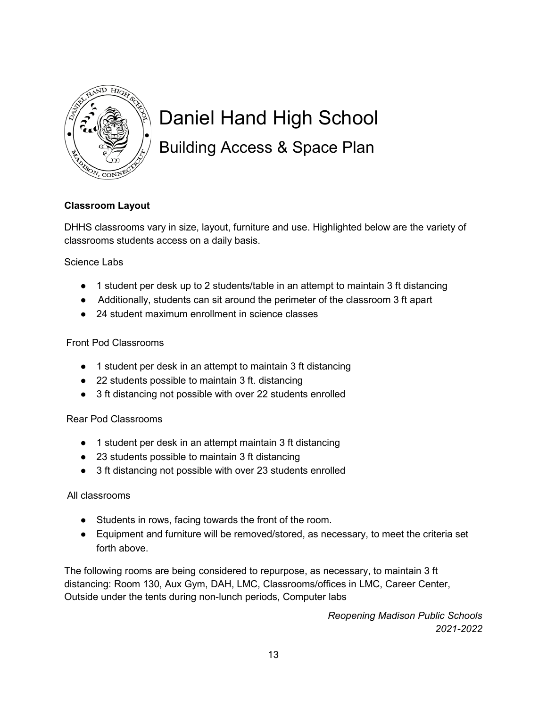

# <span id="page-12-0"></span>Daniel Hand High School Building Access & Space Plan

#### **Classroom Layout**

DHHS classrooms vary in size, layout, furniture and use. Highlighted below are the variety of classrooms students access on a daily basis.

#### Science Labs

- 1 student per desk up to 2 students/table in an attempt to maintain 3 ft distancing
- Additionally, students can sit around the perimeter of the classroom 3 ft apart
- 24 student maximum enrollment in science classes

#### Front Pod Classrooms

- 1 student per desk in an attempt to maintain 3 ft distancing
- 22 students possible to maintain 3 ft. distancing
- 3 ft distancing not possible with over 22 students enrolled

#### Rear Pod Classrooms

- 1 student per desk in an attempt maintain 3 ft distancing
- 23 students possible to maintain 3 ft distancing
- 3 ft distancing not possible with over 23 students enrolled

#### All classrooms

- Students in rows, facing towards the front of the room.
- Equipment and furniture will be removed/stored, as necessary, to meet the criteria set forth above.

The following rooms are being considered to repurpose, as necessary, to maintain 3 ft distancing: Room 130, Aux Gym, DAH, LMC, Classrooms/offices in LMC, Career Center, Outside under the tents during non-lunch periods, Computer labs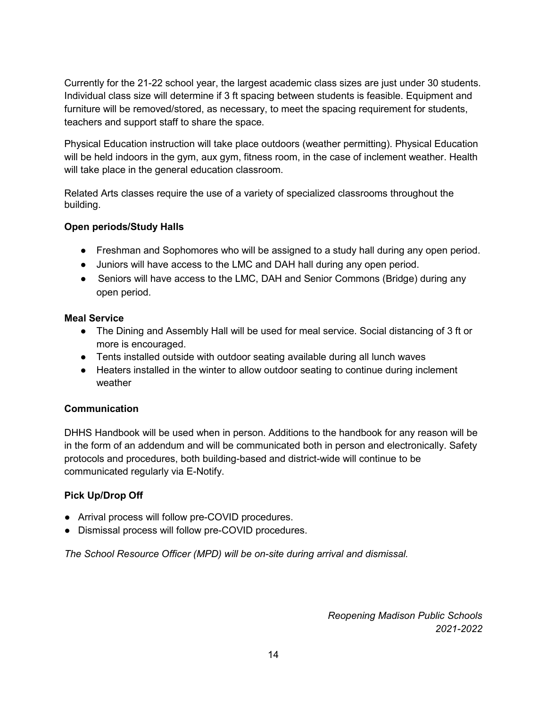Currently for the 21-22 school year, the largest academic class sizes are just under 30 students. Individual class size will determine if 3 ft spacing between students is feasible. Equipment and furniture will be removed/stored, as necessary, to meet the spacing requirement for students, teachers and support staff to share the space.

Physical Education instruction will take place outdoors (weather permitting). Physical Education will be held indoors in the gym, aux gym, fitness room, in the case of inclement weather. Health will take place in the general education classroom.

Related Arts classes require the use of a variety of specialized classrooms throughout the building.

#### **Open periods/Study Halls**

- Freshman and Sophomores who will be assigned to a study hall during any open period.
- Juniors will have access to the LMC and DAH hall during any open period.
- Seniors will have access to the LMC, DAH and Senior Commons (Bridge) during any open period.

#### **Meal Service**

- The Dining and Assembly Hall will be used for meal service. Social distancing of 3 ft or more is encouraged.
- Tents installed outside with outdoor seating available during all lunch waves
- Heaters installed in the winter to allow outdoor seating to continue during inclement weather

#### **Communication**

DHHS Handbook will be used when in person. Additions to the handbook for any reason will be in the form of an addendum and will be communicated both in person and electronically. Safety protocols and procedures, both building-based and district-wide will continue to be communicated regularly via E-Notify.

#### **Pick Up/Drop Off**

- Arrival process will follow pre-COVID procedures.
- Dismissal process will follow pre-COVID procedures.

*The School Resource Officer (MPD) will be on-site during arrival and dismissal.*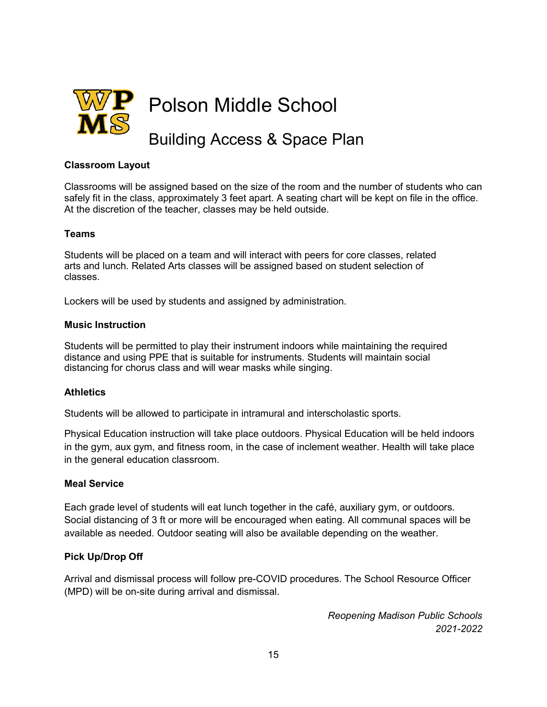<span id="page-14-0"></span>

#### **Classroom Layout**

Classrooms will be assigned based on the size of the room and the number of students who can safely fit in the class, approximately 3 feet apart. A seating chart will be kept on file in the office. At the discretion of the teacher, classes may be held outside.

#### **Teams**

Students will be placed on a team and will interact with peers for core classes, related arts and lunch. Related Arts classes will be assigned based on student selection of classes.

Lockers will be used by students and assigned by administration.

#### **Music Instruction**

Students will be permitted to play their instrument indoors while maintaining the required distance and using PPE that is suitable for instruments. Students will maintain social distancing for chorus class and will wear masks while singing.

#### **Athletics**

Students will be allowed to participate in intramural and interscholastic sports.

Physical Education instruction will take place outdoors. Physical Education will be held indoors in the gym, aux gym, and fitness room, in the case of inclement weather. Health will take place in the general education classroom.

#### **Meal Service**

Each grade level of students will eat lunch together in the café, auxiliary gym, or outdoors. Social distancing of 3 ft or more will be encouraged when eating. All communal spaces will be available as needed. Outdoor seating will also be available depending on the weather.

#### **Pick Up/Drop Off**

Arrival and dismissal process will follow pre-COVID procedures. The School Resource Officer (MPD) will be on-site during arrival and dismissal.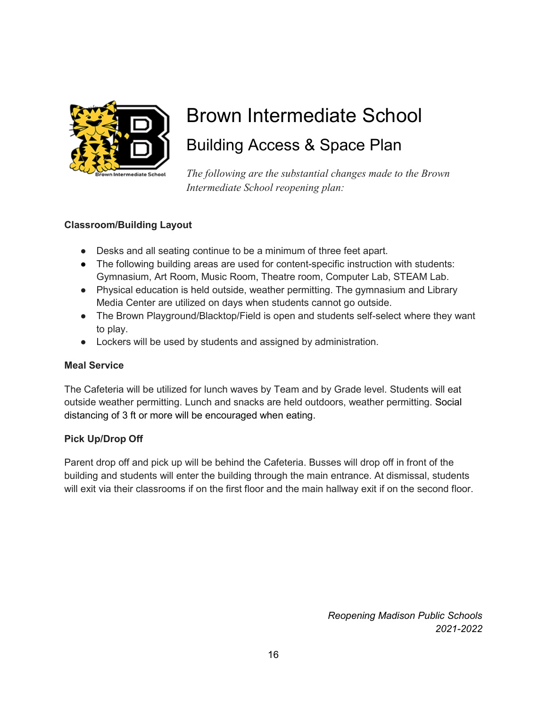

# <span id="page-15-0"></span>Brown Intermediate School Building Access & Space Plan

*The following are the substantial changes made to the Brown Intermediate School reopening plan:* 

#### **Classroom/Building Layout**

- Desks and all seating continue to be a minimum of three feet apart.
- The following building areas are used for content-specific instruction with students: Gymnasium, Art Room, Music Room, Theatre room, Computer Lab, STEAM Lab.
- Physical education is held outside, weather permitting. The gymnasium and Library Media Center are utilized on days when students cannot go outside.
- The Brown Playground/Blacktop/Field is open and students self-select where they want to play.
- Lockers will be used by students and assigned by administration.

#### **Meal Service**

The Cafeteria will be utilized for lunch waves by Team and by Grade level. Students will eat outside weather permitting. Lunch and snacks are held outdoors, weather permitting. Social distancing of 3 ft or more will be encouraged when eating.

#### **Pick Up/Drop Off**

Parent drop off and pick up will be behind the Cafeteria. Busses will drop off in front of the building and students will enter the building through the main entrance. At dismissal, students will exit via their classrooms if on the first floor and the main hallway exit if on the second floor.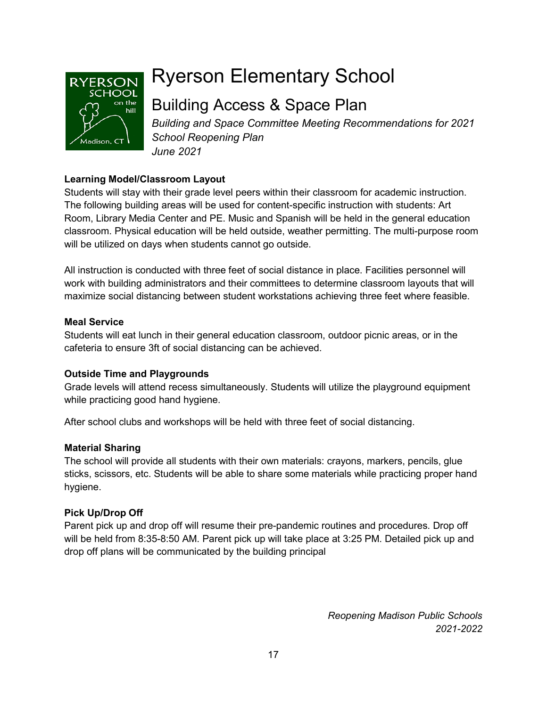

# <span id="page-16-0"></span>Ryerson Elementary School

# Building Access & Space Plan

*Building and Space Committee Meeting Recommendations for 2021 School Reopening Plan June 2021*

#### **Learning Model/Classroom Layout**

Students will stay with their grade level peers within their classroom for academic instruction. The following building areas will be used for content-specific instruction with students: Art Room, Library Media Center and PE. Music and Spanish will be held in the general education classroom. Physical education will be held outside, weather permitting. The multi-purpose room will be utilized on days when students cannot go outside.

All instruction is conducted with three feet of social distance in place. Facilities personnel will work with building administrators and their committees to determine classroom layouts that will maximize social distancing between student workstations achieving three feet where feasible.

#### **Meal Service**

Students will eat lunch in their general education classroom, outdoor picnic areas, or in the cafeteria to ensure 3ft of social distancing can be achieved.

#### **Outside Time and Playgrounds**

Grade levels will attend recess simultaneously. Students will utilize the playground equipment while practicing good hand hygiene.

After school clubs and workshops will be held with three feet of social distancing.

#### **Material Sharing**

The school will provide all students with their own materials: crayons, markers, pencils, glue sticks, scissors, etc. Students will be able to share some materials while practicing proper hand hygiene.

#### **Pick Up/Drop Off**

Parent pick up and drop off will resume their pre-pandemic routines and procedures. Drop off will be held from 8:35-8:50 AM. Parent pick up will take place at 3:25 PM. Detailed pick up and drop off plans will be communicated by the building principal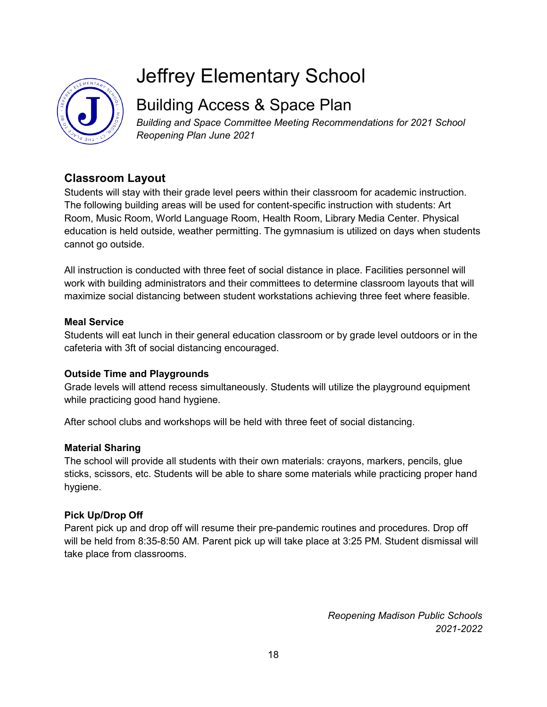

# <span id="page-17-0"></span>Jeffrey Elementary School

# Building Access & Space Plan

*Building and Space Committee Meeting Recommendations for 2021 School Reopening Plan June 2021*

#### **Classroom Layout**

Students will stay with their grade level peers within their classroom for academic instruction. The following building areas will be used for content-specific instruction with students: Art Room, Music Room, World Language Room, Health Room, Library Media Center. Physical education is held outside, weather permitting. The gymnasium is utilized on days when students cannot go outside.

All instruction is conducted with three feet of social distance in place. Facilities personnel will work with building administrators and their committees to determine classroom layouts that will maximize social distancing between student workstations achieving three feet where feasible.

#### **Meal Service**

Students will eat lunch in their general education classroom or by grade level outdoors or in the cafeteria with 3ft of social distancing encouraged.

#### **Outside Time and Playgrounds**

Grade levels will attend recess simultaneously. Students will utilize the playground equipment while practicing good hand hygiene.

After school clubs and workshops will be held with three feet of social distancing.

#### **Material Sharing**

The school will provide all students with their own materials: crayons, markers, pencils, glue sticks, scissors, etc. Students will be able to share some materials while practicing proper hand hygiene.

#### **Pick Up/Drop Off**

Parent pick up and drop off will resume their pre-pandemic routines and procedures. Drop off will be held from 8:35-8:50 AM. Parent pick up will take place at 3:25 PM. Student dismissal will take place from classrooms.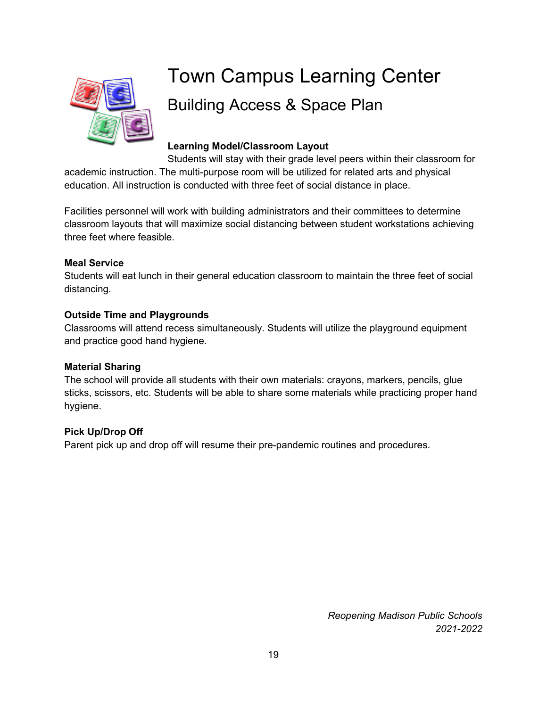

# <span id="page-18-0"></span>Town Campus Learning Center Building Access & Space Plan

#### **Learning Model/Classroom Layout**

Students will stay with their grade level peers within their classroom for academic instruction. The multi-purpose room will be utilized for related arts and physical education. All instruction is conducted with three feet of social distance in place.

Facilities personnel will work with building administrators and their committees to determine classroom layouts that will maximize social distancing between student workstations achieving three feet where feasible.

#### **Meal Service**

Students will eat lunch in their general education classroom to maintain the three feet of social distancing.

#### **Outside Time and Playgrounds**

Classrooms will attend recess simultaneously. Students will utilize the playground equipment and practice good hand hygiene.

#### **Material Sharing**

The school will provide all students with their own materials: crayons, markers, pencils, glue sticks, scissors, etc. Students will be able to share some materials while practicing proper hand hygiene.

#### **Pick Up/Drop Off**

Parent pick up and drop off will resume their pre-pandemic routines and procedures.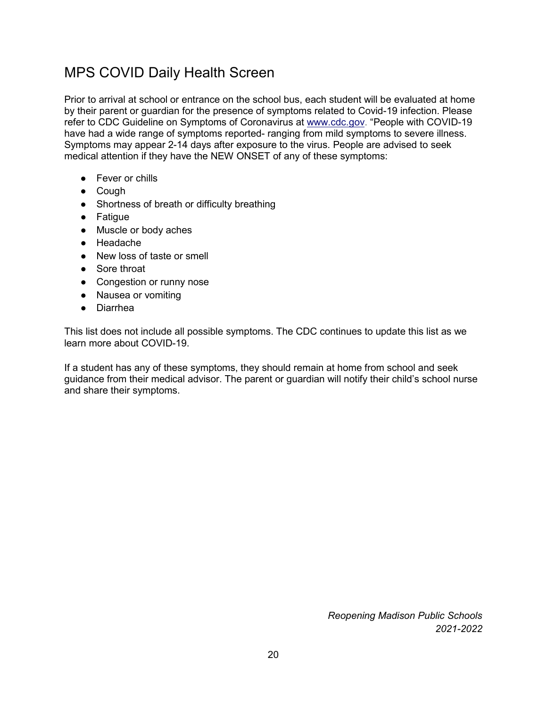## <span id="page-19-0"></span>MPS COVID Daily Health Screen

Prior to arrival at school or entrance on the school bus, each student will be evaluated at home by their parent or guardian for the presence of symptoms related to Covid-19 infection. Please refer to CDC Guideline on Symptoms of Coronavirus at [www.cdc.gov.](http://www.cdc.gov/) "People with COVID-19 have had a wide range of symptoms reported- ranging from mild symptoms to severe illness. Symptoms may appear 2-14 days after exposure to the virus. People are advised to seek medical attention if they have the NEW ONSET of any of these symptoms:

- Fever or chills
- Cough
- Shortness of breath or difficulty breathing
- Fatigue
- Muscle or body aches
- Headache
- New loss of taste or smell
- Sore throat
- Congestion or runny nose
- Nausea or vomiting
- Diarrhea

This list does not include all possible symptoms. The CDC continues to update this list as we learn more about COVID-19.

If a student has any of these symptoms, they should remain at home from school and seek guidance from their medical advisor. The parent or guardian will notify their child's school nurse and share their symptoms.